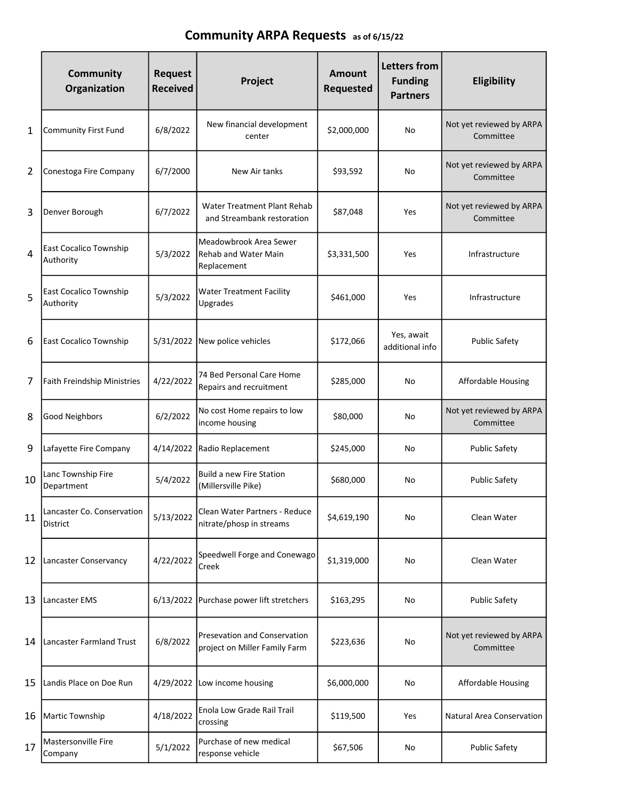## Community ARPA Requests as of 6/15/22

|    | <b>Community</b><br>Organization           | <b>Request</b><br><b>Received</b> | Project                                                              | Amount<br>Requested | <b>Letters from</b><br><b>Funding</b><br><b>Partners</b> | Eligibility                           |
|----|--------------------------------------------|-----------------------------------|----------------------------------------------------------------------|---------------------|----------------------------------------------------------|---------------------------------------|
| 1  | <b>Community First Fund</b>                | 6/8/2022                          | New financial development<br>center                                  | \$2,000,000         | No                                                       | Not yet reviewed by ARPA<br>Committee |
| 2  | Conestoga Fire Company                     | 6/7/2000                          | New Air tanks                                                        | \$93,592            | No                                                       | Not yet reviewed by ARPA<br>Committee |
| 3  | Denver Borough                             | 6/7/2022                          | Water Treatment Plant Rehab<br>and Streambank restoration            | \$87,048            | <b>Yes</b>                                               | Not yet reviewed by ARPA<br>Committee |
| 4  | <b>East Cocalico Township</b><br>Authority | 5/3/2022                          | Meadowbrook Area Sewer<br><b>Rehab and Water Main</b><br>Replacement | \$3,331,500         | <b>Yes</b>                                               | Infrastructure                        |
| 5  | <b>East Cocalico Township</b><br>Authority | 5/3/2022                          | <b>Water Treatment Facility</b><br>Upgrades                          | \$461,000           | Yes                                                      | Infrastructure                        |
| 6  | <b>East Cocalico Township</b>              | 5/31/2022                         | New police vehicles                                                  | \$172,066           | Yes, await<br>additional info                            | <b>Public Safety</b>                  |
| 7  | <b>Faith Freindship Ministries</b>         | 4/22/2022                         | 74 Bed Personal Care Home<br>Repairs and recruitment                 | \$285,000           | No                                                       | <b>Affordable Housing</b>             |
| 8  | Good Neighbors                             | 6/2/2022                          | No cost Home repairs to low<br>income housing                        | \$80,000            | No                                                       | Not yet reviewed by ARPA<br>Committee |
| 9  | Lafayette Fire Company                     | 4/14/2022                         | Radio Replacement                                                    | \$245,000           | No                                                       | <b>Public Safety</b>                  |
| 10 | Lanc Township Fire<br>Department           | 5/4/2022                          | <b>Build a new Fire Station</b><br>(Millersville Pike)               | \$680,000           | No                                                       | <b>Public Safety</b>                  |
| 11 | Lancaster Co. Conservation<br>District     | 5/13/2022                         | Clean Water Partners - Reduce<br>nitrate/phosp in streams            | \$4,619,190         | No                                                       | Clean Water                           |
| 12 | Lancaster Conservancy                      | 4/22/2022                         | Speedwell Forge and Conewago<br>Creek                                | \$1,319,000         | No                                                       | Clean Water                           |
| 13 | Lancaster EMS                              | 6/13/2022                         | Purchase power lift stretchers                                       | \$163,295           | No                                                       | <b>Public Safety</b>                  |
| 14 | Lancaster Farmland Trust                   | 6/8/2022                          | Presevation and Conservation<br>project on Miller Family Farm        | \$223,636           | No                                                       | Not yet reviewed by ARPA<br>Committee |
| 15 | Landis Place on Doe Run                    | 4/29/2022                         | Low income housing                                                   | \$6,000,000         | No                                                       | <b>Affordable Housing</b>             |
| 16 | Martic Township                            | 4/18/2022                         | Enola Low Grade Rail Trail<br>crossing                               | \$119,500           | Yes                                                      | Natural Area Conservation             |
| 17 | Mastersonville Fire<br>Company             | 5/1/2022                          | Purchase of new medical<br>response vehicle                          | \$67,506            | No                                                       | <b>Public Safety</b>                  |